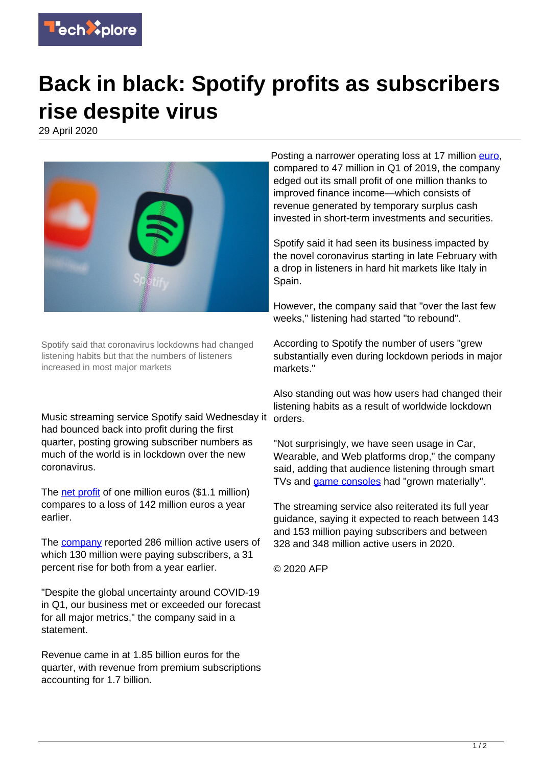

## **Back in black: Spotify profits as subscribers rise despite virus**

29 April 2020



Spotify said that coronavirus lockdowns had changed listening habits but that the numbers of listeners increased in most major markets

Music streaming service Spotify said Wednesday it had bounced back into profit during the first quarter, posting growing subscriber numbers as much of the world is in lockdown over the new coronavirus.

The [net profit](https://techxplore.com/tags/net+profit/) of one million euros (\$1.1 million) compares to a loss of 142 million euros a year earlier.

The **company** reported 286 million active users of which 130 million were paying subscribers, a 31 percent rise for both from a year earlier.

"Despite the global uncertainty around COVID-19 in Q1, our business met or exceeded our forecast for all major metrics," the company said in a statement.

Revenue came in at 1.85 billion euros for the quarter, with revenue from premium subscriptions accounting for 1.7 billion.

Posting a narrower operating loss at 17 million [euro](https://techxplore.com/tags/euro/), compared to 47 million in Q1 of 2019, the company edged out its small profit of one million thanks to improved finance income—which consists of revenue generated by temporary surplus cash invested in short-term investments and securities.

Spotify said it had seen its business impacted by the novel coronavirus starting in late February with a drop in listeners in hard hit markets like Italy in Spain.

However, the company said that "over the last few weeks," listening had started "to rebound".

According to Spotify the number of users "grew substantially even during lockdown periods in major markets."

Also standing out was how users had changed their listening habits as a result of worldwide lockdown orders.

"Not surprisingly, we have seen usage in Car, Wearable, and Web platforms drop," the company said, adding that audience listening through smart TVs and [game consoles](https://techxplore.com/tags/game+consoles/) had "grown materially".

The streaming service also reiterated its full year guidance, saying it expected to reach between 143 and 153 million paying subscribers and between 328 and 348 million active users in 2020.

© 2020 AFP